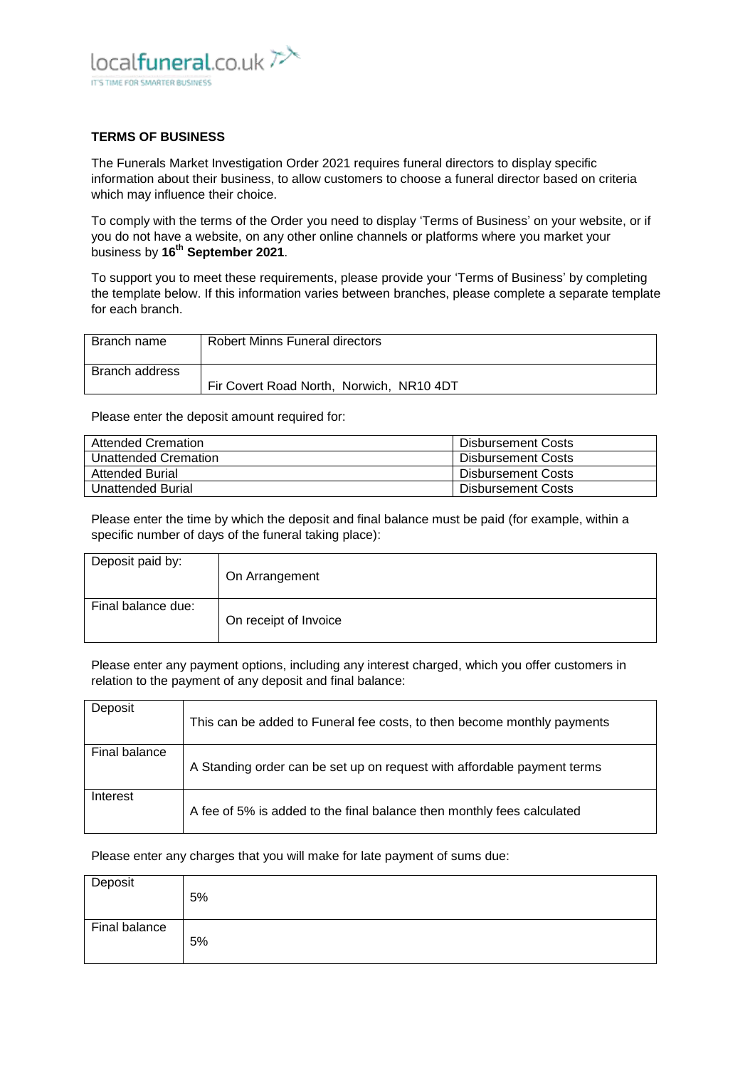

## **TERMS OF BUSINESS**

The Funerals Market Investigation Order 2021 requires funeral directors to display specific information about their business, to allow customers to choose a funeral director based on criteria which may influence their choice.

To comply with the terms of the Order you need to display 'Terms of Business' on your website, or if you do not have a website, on any other online channels or platforms where you market your business by **16th September 2021**.

To support you to meet these requirements, please provide your 'Terms of Business' by completing the template below. If this information varies between branches, please complete a separate template for each branch.

| Branch name    | Robert Minns Funeral directors           |
|----------------|------------------------------------------|
| Branch address |                                          |
|                | Fir Covert Road North, Norwich, NR10 4DT |

Please enter the deposit amount required for:

| <b>Attended Cremation</b> | Disbursement Costs        |
|---------------------------|---------------------------|
| Unattended Cremation      | Disbursement Costs        |
| <b>Attended Burial</b>    | Disbursement Costs        |
| Unattended Burial         | <b>Disbursement Costs</b> |

Please enter the time by which the deposit and final balance must be paid (for example, within a specific number of days of the funeral taking place):

| Deposit paid by:   | On Arrangement        |
|--------------------|-----------------------|
| Final balance due: | On receipt of Invoice |

Please enter any payment options, including any interest charged, which you offer customers in relation to the payment of any deposit and final balance:

| Deposit       | This can be added to Funeral fee costs, to then become monthly payments |
|---------------|-------------------------------------------------------------------------|
| Final balance | A Standing order can be set up on request with affordable payment terms |
| Interest      | A fee of 5% is added to the final balance then monthly fees calculated  |

Please enter any charges that you will make for late payment of sums due:

| Deposit       | 5% |
|---------------|----|
| Final balance | 5% |